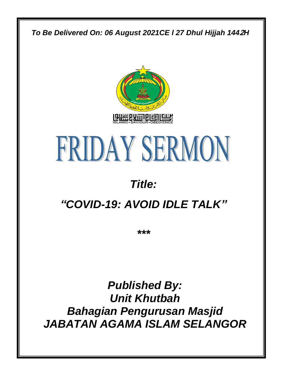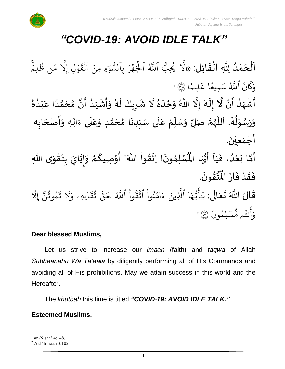

# *"COVID-19: AVOID IDLE TALK"*

 $\frac{1}{2}$ ن<br>ا اَلْحَمْدُ لِلَّهِ الْقَائِل: ۞لَّا يُحِبُّ ر<br>د ់<br>។  $\overline{\phantom{a}}$ ֦֧֦֧֦֧֦֧֦֧֦֧֦֧֦֧֧֦֧֝֝֟֓֓֜֓֓<br>**֧** َ  $\ddot{\phantom{0}}$ ֦֧֦֧֦֦֧֝<u>֦</u> ِب ُي و ب<br>ا َّ۞ل ٱ و<br>ا ر ِ للَّهُ ٱلْجَهْرَ بِٱلسُّوَءِ ر<br>م ر<br>1.  $\frac{1}{\epsilon}$ و و<br>س لسَّوۡءِ  $\ddot{\cdot}$ مِنَ القَوْلِ ج  $\ddot{\tilde{}}$ لْقَوْلِ إِلاّ مَن ظُلِمَ ر<br>1 بر<br>مر ن ظُلِمَ و ِ<br>م م بر<br>ا إَِّل  $\ddot{\cdot}$ ن ر<br>سم  $\overline{\mathcal{R}}$ ِرِ<br>ہ وَكَانَ ا و<br>ا ما  $\frac{2}{\lambda}$ للَّهُ سَمِيعًا عَلِي ِ<br>م ا ع ً<br>• ِميع ِ<br>س سَمِيعًا عَلِيمًا ۞ ا ْ ر<br>-<br>أَشْهَدُ أَنْ لَّا إِلَهَ إِلَّا اللَّهُ وَحْدَهُ لَا شَرِيكَ لَهُ وَأَشْهَدُ أَنَّ مُحَمَّدًا عَبْدُهُ ֦֦֪֦֦֖֦֦֖֦֦֦֦֪֦֪֦֦֪֦֝֟֝֟֝֟֝֟֟֟֟֟֟֟֟֟֟֟֟֟֟֟֟֟֟֟֟֟֟֟֟֟֟֟֟֕֕֟֟֟֕֟֟֟֟֕֟֩֕֟֟֟֟֟֟֟֟֟֟֟ ر<br>ا ً<br>زاد ْ  $\frac{1}{2}$ ِ<br>پ ં<br>ત  $\tilde{\cdot}$  $\frac{1}{2}$ ر<br>الم ٍ<br>په  $\frac{1}{1}$  $\tilde{\cdot}$  $\mathbf{r}$ ِ<br>ٌ ِ<br>ا ំ<br>រ ِ<br>م ً<br>أ ั<br>ั ๋<br>ጎ  $\frac{1}{2}$  $\frac{1}{2}$ ِ<br>ا ً<br>زاد ْ  $\ddot{\phantom{0}}$  $\tilde{\cdot}$ ر<br>ر  $\mathbf{r}$  $\overline{\mathbf{z}}$  $\mathbf{r}$ وَرَسُوْلُهُ. اَللَّهُمَّ صَلِّ وَسَلِّمْ عَلَى سَيِّدِنَا مُحَمَّدٍ وَعَلَى ءَالِهِ وَأَصْحَابِه ِّ  $\frac{1}{2}$  $\tilde{\cdot}$ ์<br>ถึ ر<br>ر<br>ر ہ<br>ا  $\overline{\phantom{a}}$ ر<br>ر ا<br>ا ֦֧֦֧֦ ُ<br>ُ  $\ddot{\phantom{0}}$  $\tilde{\cdot}$ ِ<br>آ َ  $\tilde{\cdot}$ <u>لم</u> ั<br>ั  $\frac{1}{2}$ ا<br>-<br>• ِّ ֦֧֦֧֦֧֦׆֧֧  $\frac{1}{2}$  $\overline{\phantom{a}}$ َ  $\ddot{\phantom{0}}$  $\frac{1}{2}$  $\overline{\phantom{a}}$  $\ddot{\phantom{0}}$  $\tilde{\cdot}$  $\ddot{\phantom{0}}$ أَجْمَعِيْنَ. ْ  $\frac{1}{\alpha}$  $\frac{1}{2}$ ِّ<br>أَمَّا بَعْدُ، فَيَا أَيُّهَا الْمُسْلِمُونَ! اِتَّقُواْ اللَّهَ! أُوْصِيكُمْ وَإِيَّايَ بِتَقْوَى اللَّهِ  $\frac{1}{1}$  $\ddot{\cdot}$ ِ<br>ُا ំ<br>រ  $\ddot{\cdot}$ ์<br>วั  $\ddot{\phantom{0}}$  $\ddot{\phantom{0}}$  $\frac{1}{2}$ ֦֧<u>֓</u>  $\ddot{\phantom{0}}$  $\frac{1}{2}$ ់<br>រ !<br>-<br>- $\tilde{\cdot}$ ر<br>مخ ֦֧<sup>֟</sup> ُ ٝ<br>أ <u>፟</u> **تا**  $\ddot{\phantom{0}}$ ›<br>ለ مًى المُأ ِ<br>پاس<br>مرد ا<br>وُلِ .  $\ddot{\phantom{0}}$ ؾڤۏڹؘ <u>፟</u> ا<br>کرین<br>جو ُْ فَقَدْ فَازَ الْمُ  $\ddot{\cdot}$  $\ddot{\cdot}$ ْ  $\frac{1}{2}$  $\ddot{\cdot}$ قَالَ اللَّهُ تَعَالَى: يَ ً<br>الم  $\ddot{\bullet}$  $\ddot{\phantom{0}}$  $\ddot{\mathbf{r}}$ ֦ يَايَّهَا ِ<br>م ه و<br>د يَ<br>ب ِ<br>ج ي<br>أَيُّهَا ٱلَّذِينَ لَّذِينَ ءَامَنُوا <u>ہ</u> ح ِ<br>م ام ्<br>c ءَامَنُوا اتَّقُوا <u>ہ</u> ديو ب<br>به<br>۱ تّقُوا ا ِ<br>آ للَّهَ حَقُّ تُقَاتِهِ  $\ddot{\tilde{}}$ ق ت بو بر<br>به قٌ  $\tilde{\phantom{a}}$ حَقَّ ثَقَاتِهِۦ ِ<br>م وَلَا تَمُوثُنَّ إِ ्<br>स مُوتَنَّ بو ح  $\ddot{\cdot}$ تَمُوتُنَّ إِلَّا ِ<br>الإ .<br>` ر<br>مَّسۡلِمُونَ ح نتُم مَّ ح ِ<br>ج أ ِ<br>م وَانْتُم مُّسۡلِمُونَ ۞ ۚ

# **Dear blessed Muslims,**

Let us strive to increase our *imaan* (faith) and *taqwa* of Allah *Subhaanahu Wa Ta'aala* by diligently performing all of His Commands and avoiding all of His prohibitions. May we attain success in this world and the Hereafter.

The *khutbah* this time is titled *"COVID***-***19: AVOID IDLE TALK."*

# **Esteemed Muslims,**

<sup>1</sup> an-Nisaa' 4:148.

<sup>2</sup> Aal 'Imraan 3:102.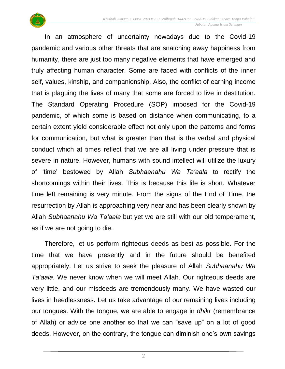

In an atmosphere of uncertainty nowadays due to the Covid-19 pandemic and various other threats that are snatching away happiness from humanity, there are just too many negative elements that have emerged and truly affecting human character. Some are faced with conflicts of the inner self, values, kinship, and companionship. Also, the conflict of earning income that is plaguing the lives of many that some are forced to live in destitution. The Standard Operating Procedure (SOP) imposed for the Covid-19 pandemic, of which some is based on distance when communicating, to a certain extent yield considerable effect not only upon the patterns and forms for communication, but what is greater than that is the verbal and physical conduct which at times reflect that we are all living under pressure that is severe in nature. However, humans with sound intellect will utilize the luxury of 'time' bestowed by Allah *Subhaanahu Wa Ta'aala* to rectify the shortcomings within their lives. This is because this life is short. Whatever time left remaining is very minute. From the signs of the End of Time, the resurrection by Allah is approaching very near and has been clearly shown by Allah *Subhaanahu Wa Ta'aala* but yet we are still with our old temperament, as if we are not going to die.

Therefore, let us perform righteous deeds as best as possible. For the time that we have presently and in the future should be benefited appropriately. Let us strive to seek the pleasure of Allah *Subhaanahu Wa Ta'aala*. We never know when we will meet Allah. Our righteous deeds are very little, and our misdeeds are tremendously many. We have wasted our lives in heedlessness. Let us take advantage of our remaining lives including our tongues. With the tongue, we are able to engage in *dhikr* (remembrance of Allah) or advice one another so that we can "save up" on a lot of good deeds. However, on the contrary, the tongue can diminish one's own savings

2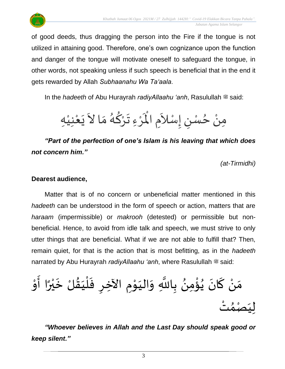

of good deeds, thus dragging the person into the Fire if the tongue is not utilized in attaining good. Therefore, one's own cognizance upon the function and danger of the tongue will motivate oneself to safeguard the tongue, in other words, not speaking unless if such speech is beneficial that in the end it gets rewarded by Allah *Subhaanahu Wa Ta'aala*.

In the *hadeeth* of Abu Hurayrah *radiyAllaahu 'anh*, Rasulullah  $\equiv$  said:

َرْءِ تَرْكُهُ مَا لاَ يَعْنِيْهِ ْ ֦֦֦֟֝֝<br>**֘**֟֘  $\frac{1}{2}$ ्<br>विदेश  $\frac{1}{2}$ ر<br>گر ُ ِ<br>ا  $\frac{1}{2}$ ْ  $\mathbf{r}^{\circ}$ مِنْ حُسْنِ إِسْلاَمِ الْمَ  $\sum_{i=1}^{n}$  $\overline{\phantom{a}}$ ֧֦֦֧֦֧֦֧֦֧֦֧֦֧֦֧֦֧֦֧֦֧֝֝֟֓֓֟֓<br>֧֧֧֚֝֝֝֟֓֝֟  $\sum$ ֦֧֦֦֦֧֝֝֟֓֓<u>֚</u> ُ ۠<br>ؙ

*"Part of the perfection of one's Islam is his leaving that which does not concern him."*

*(at-Tirmidhi)*

### **Dearest audience,**

Matter that is of no concern or unbeneficial matter mentioned in this *hadeeth* can be understood in the form of speech or action, matters that are *haraam* (impermissible) or *makrooh* (detested) or permissible but nonbeneficial. Hence, to avoid from idle talk and speech, we must strive to only utter things that are beneficial. What if we are not able to fulfill that? Then, remain quiet, for that is the action that is most befitting, as in the *hadeeth* narrated by Abu Hurayrah *radiyAllaahu 'anh*, where Rasulullah  $\stackrel{\text{def}}{=}$  said:

 اآل خر م ْ و َ الي َ و َ اَّلل ب ُ من ْ ؤ ُ ي َ ان َ ك ْ ن َ م ْ و َ ا أ ً ر ْ ي َ خ لْ ُ ق َ ي ْ ل َ ف ْ ت ُ م ْ ص َ ي ل

*"Whoever believes in Allah and the Last Day should speak good or keep silent."*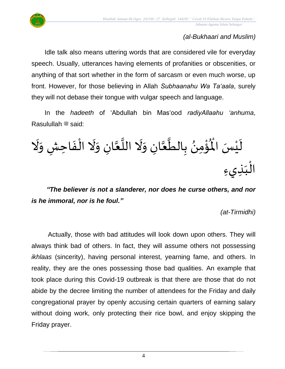

# *(al-Bukhaari and Muslim)*

Idle talk also means uttering words that are considered vile for everyday speech. Usually, utterances having elements of profanities or obscenities, or anything of that sort whether in the form of sarcasm or even much worse, up front. However, for those believing in Allah *Subhaanahu Wa Ta'aala*, surely they will not debase their tongue with vulgar speech and language.

In the *hadeeth* of 'Abdullah bin Mas'ood *radiyAllaahu 'anhuma*, Rasulullah <sup>22</sup> said:

्<br>र ُوْمِنُ بِالطَّعَّانِ وَلَا اللَّعَّانِ وَلَا الْفَاحِشِ وَلَا  $\frac{1}{2}$  $\frac{1}{2}$ ْ ِ<br>پنج  $\frac{1}{2}$ َ ر<br>ا  $\tilde{\mathbf{r}}$  $\frac{1}{2}$ َ ل<br>م<br>ا  $\frac{1}{2}$ <sup>∂</sup> ់<br>:  $\mathbf{r}^{\circ}$ لَيْسَ الْمُ ំ<br>វ  $\tilde{\mathbf{r}}$ الْبَذِيءِ  $\frac{1}{1}$ ْ

*"The believer is not a slanderer, nor does he curse others, and nor is he immoral, nor is he foul."*

*(at-Tirmidhi)*

Actually, those with bad attitudes will look down upon others. They will always think bad of others. In fact, they will assume others not possessing *ikhlaas* (sincerity), having personal interest, yearning fame, and others. In reality, they are the ones possessing those bad qualities. An example that took place during this Covid-19 outbreak is that there are those that do not abide by the decree limiting the number of attendees for the Friday and daily congregational prayer by openly accusing certain quarters of earning salary without doing work, only protecting their rice bowl, and enjoy skipping the Friday prayer.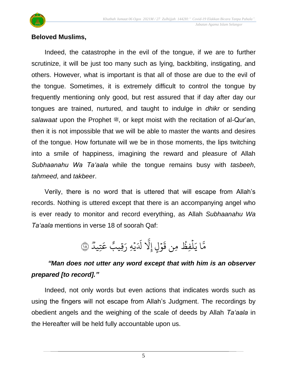

# **Beloved Muslims,**

Indeed, the catastrophe in the evil of the tongue, if we are to further scrutinize, it will be just too many such as lying, backbiting, instigating, and others. However, what is important is that all of those are due to the evil of the tongue. Sometimes, it is extremely difficult to control the tongue by frequently mentioning only good, but rest assured that if day after day our tongues are trained, nurtured, and taught to indulge in *dhikr* or sending salawaat upon the Prophet  $\ddot{\mathcal{L}}$ , or kept moist with the recitation of al-Qur'an, then it is not impossible that we will be able to master the wants and desires of the tongue. How fortunate will we be in those moments, the lips twitching into a smile of happiness, imagining the reward and pleasure of Allah *Subhaanahu Wa Ta'aala* while the tongue remains busy with *tasbeeh*, *tahmeed*, and *takbeer*.

Verily, there is no word that is uttered that will escape from Allah's records. Nothing is uttered except that there is an accompanying angel who is ever ready to monitor and record everything, as Allah *Subhaanahu Wa Ta'aala* mentions in verse 18 of soorah Qaf:

> وو<br>۱ تِيد ِ<br>م ع § قِيب ِرِ هِ ر ي ر<br>د ِ<br>أد َل ب<br>ا ٍل إَِّل و ر<br>م  $\ddot{\mathbf{r}}$ ِمن ق فِظ ل ح ہ<br>1 ِرِ مَّا يَلْفِظُ مِن قَوْلٍ إِلَّا لَدَيْهِ رَقِيبٌ عَتِيدٌ ۞

# *"Man does not utter any word except that with him is an observer prepared [to record]."*

Indeed, not only words but even actions that indicates words such as using the fingers will not escape from Allah's Judgment. The recordings by obedient angels and the weighing of the scale of deeds by Allah *Ta'aala* in the Hereafter will be held fully accountable upon us.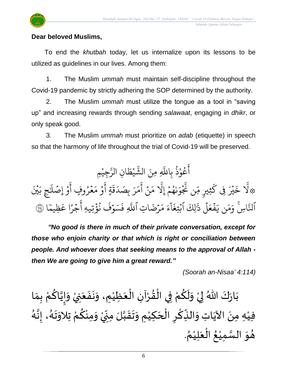

# **Dear beloved Muslims,**

To end the *khutbah* today, let us internalize upon its lessons to be utilized as guidelines in our lives. Among them:

1. The Muslim *ummah* must maintain self-discipline throughout the Covid-19 pandemic by strictly adhering the SOP determined by the authority.

2. The Muslim *ummah* must utilize the tongue as a tool in "saving up" and increasing rewards through sending *salawaat*, engaging in *dhikr*, or only speak good.

3. The Muslim *ummah* must prioritize on *adab* (etiquette) in speech so that the harmony of life throughout the trial of Covid-19 will be preserved.

ُجِيْمِ **ٔ** ىر<br>س ِن الر ا  $\frac{1}{2}$ ط ي ْ بر<br>په الش ِ ِمنَ ا عُوْذُ بِاللَّهِ ح ْ و<br>ح ِ<br>ج أ رم<br>بَيْنَ ِ<br>بِحِ بَ  $\overline{\phantom{a}}$ ِ<br>آ .<br>و إِصْلًا ر<br>م ِ<br>ج مُرُوفٍ أ ح ج ِ<br>م م و ر<br>م ِ<br>ج ٍة أ  $\ddot{\mathbf{r}}$ ق ِ<br>ا د ِصَ ب ِ ر ِ<br>م بر<br>م ِ<br>ج أ .<br>• ن ِ<br>م م ب<br>ا إِيْهُمْ إِلَّا ر<br>م و<br>م  $\overline{a}$ ِ<br>م و .<br>م ب<br>ج ِن َّن ں<br>س ثِيبِ مِّ ر<br>م ِِف ك جَ در<br>بگر  $\ddot{\cdot}$ خ بر<br>ا َّ۞ل أَلتَّاسِ ب<br>ج لنَّاسِ ۚ وَمَن يَفۡعَلۡ ذَٰلِكَ  $\frac{1}{2}$ ذ ل ر<br>1  $\frac{1}{2}$ ع ف <u>جو</u>  $\tilde{\cdot}$ ن ي ِ<br>م بر<br>م ِ<br>ہ وَمَن يَفۡعَلۡ ذَٰلِكَ ا ्<br>c ء ر<br>آ ا  $\ddot{\cdot}$ بُتِغَآءَ مَرۡضَاتِ .<br>م ِ<br>م مَرْضَاتِ اَللَّهِ بہ<br>ا للَّهِ فَسَوْفٌ نُؤْتِيهِ اُجْرًا عَظِيمًا ֦֧֦֝<br>֧֝֝֝ ِظيم ِ<br>م ا ع ً<br>م جَرَ .<br>-.<br>ع نُؤَّتِيهِ أ ج ح قَسَوْفَ<br>فَسَوْفَ فَسَوْفٌ نُؤْتِيهِ أَجْرًا عَظِيمًا ۞

*"No good is there in much of their private conversation, except for those who enjoin charity or that which is right or conciliation between people. And whoever does that seeking means to the approval of Allah then We are going to give him a great reward."*

*(Soorah an-Nisaa' 4:114)*

ْ اللّهُ لِيْ وَلَكُمْ فِي الْقُرْآنِ الْعَظِيْمِ، وَنَفَعَنِيْ  $\ddot{\phantom{0}}$  $\ddot{\phantom{0}}$  $\ddot{\phantom{0}}$  $\tilde{\cdot}$ ٝ<br>ؙ َ ֦֧֦֧֦֧֝<u>֦</u> ْ  $\frac{1}{2}$ ֦֧֦֦֧֝<u>֦</u> ْ ِ<br>م  $\tilde{\mathbf{r}}$  $\tilde{\cdot}$ ْ ء<br>په الان بَارَكَ اللّهُ لِيْ وَلَكُمْ فِي الْقُرْآنِ الْعَظِيْمِ، وَنَفَعَنِيْ وَإِيَّاكُمْ بِمَا  $\frac{1}{2}$  $\ddot{\phantom{0}}$  $\frac{1}{2}$ ้<br>้ <u>ل</u> َ<br>ٌ<br>▲ |<br>-<br>-<br>- $\tilde{\cdot}$ د<br>گ فيْهِ مِنَ الآيَاتِ وَالنِّكْرِ الْحَكِيْمِ وَتَقَبَّلَ مِنِّيْ وَمِنْكُمْ تِلاَوَتَهُ، إِنَّهُ َ<br>تار<br>:  $\frac{1}{2}$ ر<br>گ  $\ddot{\phantom{0}}$  $\ddot{\ }$ ِ<br>ْم <u>ل</u> ំ<br>•  $\ddot{\ }$ ْ '<br>∪<br>∙  $\sum$ ن<br>ا  $\frac{1}{2}$  $\ddot{\phantom{0}}$  $\tilde{\cdot}$ ់<br>រ  $\overline{\phantom{a}}$ ْ  $\overline{\phantom{a}}$ ْ ِّ ۔<br>م ِ<br>پُ  $\ddot{\phantom{0}}$ ٝ<br>ؙ . ُ هُوَ السَّمِيْعُ الْعَلِيْمُ ំ<br>រ  $\ddot{\phantom{0}}$ ْ ُ ٝ<br>ؙ ل<br>سا<br>سا  $\ddot{\ }$  $\frac{1}{2}$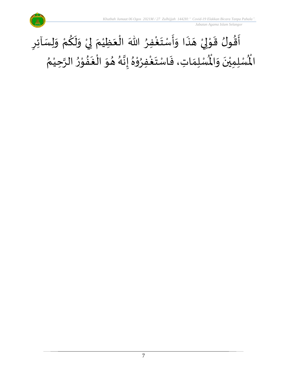

### أَقُولُ قَوْلِيْ هَذَا وَأَسْتَغْفِرُ اللّٰهَ الْعَظِيْمَ لِيْ وَلَكُمْ وَلِسَاْئِرِ  $\ddot{\cdot}$  $\overline{\phantom{a}}$ ֦֧֦֧<u>֦</u> إ י<br>י  $\frac{1}{2}$ ፟<br>፟  $\ddot{\phantom{0}}$  $\sum$  $\tilde{\cdot}$ ْ ِ<br>م  $\tilde{\mathbf{r}}$  $\ddot{\ }$ ْ إ َ ٝ<br>ؙ َ ֦֧֦֧֦֧֦֧֝֟֓֓<u>֦</u> ៝<br>៓ ِ<br>وف  $\ddot{\phantom{0}}$  $\frac{1}{2}$  $\tilde{\cdot}$ ُ ري<br>لْمُسْلِمَاتِ، فَاسْتَغْفِرُوْهُ إِنَّهُ هُوَ الْغَفُوْرُ الرَّحِيْمُ ْ ن<br>پ ِ<br>په י<br>י **∗**<br>•  $\frac{1}{2}$ ֚֚֘<br>֧֘  $\ddot{\ }$  $\frac{1}{\lambda}$ ر<br>ا **َ**<br>•  $\frac{1}{2}$ ፟<br>፞ ֧֦֧֦֝ ب<br>پ ا<br>.<br>.  $\ddot{\phantom{0}}$  $\ddot{\cdot}$  $\frac{1}{2}$ رت<br>لْمُسْلِمِيْنَ وَالْمُ  $\ddot{\ }$  $\ddot{\phantom{0}}$ ْ اْل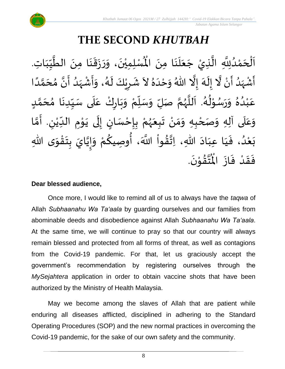

# **THE SECOND** *KHUTBAH*

 $\ddot{\phantom{0}}$ اَلْحَمْدُلِلَّهِ الَّذِيْ جَعَلَنَا مِنَ الْمُسْلِمِيْنَ، وَرَزَقَنَا مِنَ الطَّيِّبَاتِ  $\ddot{\phantom{0}}$ ِ<br>ا  $\ddot{\phantom{0}}$  $\overline{\phantom{a}}$ ر<br>پ ن<br>پ ِ<br>ُ ់<br>ត  $\overline{\phantom{a}}$ ֦֧֦֧֦֧֝<u>֚</u>  $\overline{\phantom{a}}$  $\frac{1}{1}$ しんこ  $\frac{1}{2}$ ہ<br>م  $\ddot{\phantom{0}}$  $\ddot{\phantom{0}}$  $\frac{1}{2}$  $\ddot{\phantom{0}}$  $\frac{1}{2}$  $\ddot{\ }$  $\ddot{\phantom{0}}$ ْ الْمُسْلِمِيْنَ، وَرَزَقَنَا مِنَ الطَّيِّبَاتِ. ें<br>र أَشْهَدُ أَنْ لَّا إِلَهَ إِلَّا اللّهُ وَحْدَهُ لاَ شَرِيْكَ لَهُ، وَأَشْهَدُ أَنَّ مُحَمَّدًا ْ  $\ddot{\mathbf{z}}$ ر<br>ا ر<br>زا ؚ<br>ۣ<br>ؙ  $\sum_{i=1}^{n}$ َ ં<br>ત  $\tilde{\cdot}$  $\frac{1}{2}$ }<br>⊿  $\ddot{\phantom{0}}$ ٍ<br>په  $\overline{\phantom{a}}$  $\tilde{\cdot}$ ً<br>ا ั<br>ด َ  $\frac{1}{2}$ َ ا<br>: ِ<br>ُ'  $\frac{1}{2}$ ْ  $\frac{1}{2}$  $\tilde{\cdot}$ د<br>گ  $\tilde{\mathbf{r}}$ ْ  $\sum$ ैं: عَبْدُهُ وَرَسُوْلُهُ. اَللَّهُمَّ صَلِّ وَسَلِّمْ وَبَارِكْ عَلَى سَيِّدِنَا مُحَمَّدٍ <u>لم</u> ั<br>ด  $\overline{\phantom{a}}$ ๋<br>ጎ  $\ddot{\phantom{0}}$ ِّ しんこ ے<br>آ  $\frac{1}{2}$ ّ<br>وُ  $\ddot{\phantom{0}}$ ر<br>م ْ ِّ  $\frac{1}{2}$  $\ddot{\ }$ َ ر<br>ر<br>ر ֦֧֦֜<br>֧֛֜֜ م<br>آ ر<br>م ء<br>م⊀ י<br>י ر<br>را  $\frac{1}{2}$  $\tilde{\cdot}$ ፟<br>፞ .<br>ا ْ ِ<br>م وَعَلَى آلِهِ وَصَحْبِهِ وَمَنْ تَبِعَهُمْ بِإِحْسَانٍ إِلَى يَوْمِ الدِّيْنِ. أَمَّا  $\overline{\phantom{a}}$ ์  $\tilde{\cdot}$ ْ ั<br>ว َ لي ٝ<br>ؙ  $\frac{1}{1}$  $\ddot{\phantom{0}}$ י<br>י  $\ddot{\phantom{0}}$  $\ddot{\phantom{0}}$ ل  $\frac{1}{2}$ )<br>=<br>= ْ  $\frac{1}{2}$ ْ ر<br>ر<br>ر َ  $\ddot{\phantom{0}}$ ْ ์ $\frac{1}{2}$  $\ddot{\phantom{0}}$ ى هللا و ق ت ب ايَ ي إ و م و صيك ، أ َّللا ََ وا ق هللا، ات اد عب ا ي ، ف د ع ب  $\ddot{\ }$ ֦֧֦֧<u>֦</u>  $\frac{1}{2}$  $\frac{1}{2}$ ن<br>•  $\frac{1}{2}$  $\ddot{\ }$ ْ ्य<br>द ُ<br>پیدائشہ ز<br>ا  $\frac{1}{2}$  $\frac{1}{2}$  $\sim$  $\frac{1}{1}$  $\frac{1}{1}$  $\frac{1}{2}$ ُ<br>ُ' ْ  $\ddot{\phantom{0}}$ .  $\ddot{\phantom{0}}$ تقۇنَ י<br>י  $\frac{1}{2}$ ِ<br>ئىق<br>ج  $\frac{1}{\sqrt{2}}$ فَقَدْ فَازَ الْمُ  $\ddot{\phantom{0}}$  $\ddot{\cdot}$ ْ  $\frac{1}{2}$  $\frac{1}{2}$ 

## **Dear blessed audience,**

Once more, I would like to remind all of us to always have the *taqwa* of Allah *Subhaanahu Wa Ta'aala* by guarding ourselves and our families from abominable deeds and disobedience against Allah *Subhaanahu Wa Ta'aala*. At the same time, we will continue to pray so that our country will always remain blessed and protected from all forms of threat, as well as contagions from the Covid-19 pandemic. For that, let us graciously accept the government's recommendation by registering ourselves through the *MySejahtera* application in order to obtain vaccine shots that have been authorized by the Ministry of Health Malaysia.

May we become among the slaves of Allah that are patient while enduring all diseases afflicted, disciplined in adhering to the Standard Operating Procedures (SOP) and the new normal practices in overcoming the Covid-19 pandemic, for the sake of our own safety and the community.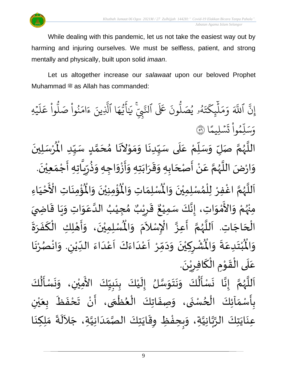

While dealing with this pandemic, let us not take the easiest way out by harming and injuring ourselves. We must be selfless, patient, and strong mentally and physically, built upon solid *imaan*.

Let us altogether increase our *salawaat* upon our beloved Prophet Muhammad  $\equiv$  as Allah has commanded:

ب<br>پ إِنَّ ا ِ<br>آ للَّهَ وَمَلْيِكْتَهُ و<br>ك  $\ddot{\cdot}$ ت ر<br>م ِك ئ بر<br>ا  $\mu$ ِ<br>م بر<br>م  $\frac{1}{\alpha}$ وَمَلَٰٓئٍكَتَهُۥ يُصَلُّونَ عَلَى ون و<br>ا يُصَلُّونَ عَلَى ٱلنَّبِيِّ و<br>د لنَّبِّ يَايَّهَا ِ<br>م ه و<br>ما يَ<br>ب ِ<br>ع  $\overline{\mathcal{L}}$ ֦ ِ<br>بر يَاًيُّهَا ٱلَّذِينَ ب<br>ا لَّذِينَ ءَامَنُوا صَلُوا عَلَيْهِ ج َ  $\mu$ ِ<br>م ع وا ْ و<br>س بُواْ صَلَّ ْ ح ِ<br>م ام ر<br>ہ ء ا  $\frac{2}{1}$ ن*َسْ*لِيمَّ .<br>.  $\ddot{\cdot}$ ت ْ وا ِم ح ں<br>ا ل ِ<br>س وَسَلِّمُواْ تَسْلِيمًا (َ ُ اللَّهُمَّ صَلِّ وَسَلِّمْ عَلَى سَيِّدِنَا وَمَوْلاَنَا مُحَمَّدٍ سَيِّدِ الْمُرْسَلِينَ  $\ddot{\phantom{0}}$ ِ<br>م ْ ِّ  $\overline{L}$  $\ddot{\phantom{0}}$ َ ر<br>ر<br>ر ر<br>آ  $\ddot{\phantom{0}}$ ْ  $\mathbf{r}$ سَيِّدِنَا وَمَوْلاَنَا مُحَمَّدٍ سَيِّدِ الْمُ ِّ しんこ  $\frac{1}{2}$ ั<br>ด  $\overline{\phantom{a}}$  $\frac{1}{2}$  $\overline{\phantom{a}}$  $\tilde{\phantom{a}}$ י<br>י  $\frac{1}{2}$  $\ddot{\phantom{0}}$  $\ddot{\phantom{0}}$ ِّ ़<br>-<br>• وَارْضَ اللَّهُمَّ عَنْ أَصْحَابِهِ وَقَرَابَتِهِ وَأَزْوَاجِهِ وَذُرِّيَّاتِهِ أَجْمَعِيْنَ. ْ  $\frac{1}{2}$ ֦֧֦֧֦֧<u>֦</u> -<br>:<br>: ં<br>ਹ ِّ ر ء<br>پيد  $\ddot{\ }$  $\tilde{\cdot}$ ْ -<br>:<br>:  $\ddot{\ }$  $\ddot{\phantom{0}}$  $\frac{1}{2}$  $\frac{1}{2}$ ์  $\overline{\phantom{a}}$ ֝׀<br>ֺ֧֪֪֪֪֝֜֝֝֝֝ ْ  $\frac{1}{2}$ ี<br>ั ر<br>ر<br>ر ِ<br>آ  $\frac{1}{2}$ ؙۏ۠ۄٮؘؘاتؚ  $\ddot{\phantom{0}}$ ់<br>:  $\frac{1}{\sqrt{2}}$ ُؤْمِنِيْنَ وَالْمُ  $\tilde{\cdot}$  $\ddot{\phantom{0}}$ ْ ់<br>:  $\mathbf{r}^{\circ}$ ِ<br>لْمُسْلِمَاتِ وَالْمُ  $\frac{1}{2}$  $\frac{1}{2}$ اَللَّهُمَّ اغْفِرْ لِلْمُسْلِمِيْنَ وَالْمُسْلِمَاتِ وَالْمُؤْمِنِيْنَ وَالْمُؤْمِنَاتِ  $\frac{1}{2}$  $\ddot{\phantom{0}}$ ْ ๋<br>ለ ْ ٝ<br>؛ ี<br>จึ ر<br>ر<br>ر ہ<br>ا  $\overline{\phantom{a}}$ َ<br>مَ عَ الْأَحْيَاءِ  $\frac{1}{1}$ ֦֧֦֧֦֧<u>֦</u> مِنْهُمْ وَالأَمْوَاتِ، إِنَّكَ سَمِيْعٌ قَرِيْبٌ مُجِيْبُ الدَّعَوَاتِ وَيَا قَاضِيَ ْ ُ<br>رو<br>مر ْ  $\ddot{\ }$ י<br>י ا<br>ع  $\ddot{\phantom{0}}$  $\frac{1}{2}$  $\ddot{\mathbf{r}}$  $\ddot{\phantom{0}}$  $\tilde{\cdot}$  $\frac{1}{2}$ ِ<br>م ہ<br>1 ُ ់<br>រ  $\frac{1}{\lambda}$ ه<br>**د ا** ي ر ق  $\overline{\mathbf{z}}$  $\frac{1}{2}$  $\frac{1}{2}$ ءِ<br>، إِنَّكَ سَمِيْعٌ ់<br>រ ्<br>द<br>•  $\frac{1}{2}$ الْحَاجَاتِ. اَللَّهُمَّ أَعِزَّ الْإِسْلاَمَ وَ  $\overline{\phantom{a}}$ ۔<br>ا ا<br>أ ر<br>تا ر<br>ر<br>ر ี<br>จ ا<br>:  $\frac{1}{2}$ .<br>م  $\tilde{\phantom{a}}$ .<br>د  $\ddot{\ }$  $\frac{1}{\sqrt{2}}$ الْمُسْلِمِيْنَ، وَأَهْلِكِ الْكَفَرَةَ ْ ْ ي  $\ddot{\phantom{0}}$  $\mathbf{I}^*$  $\frac{1}{2}$  $\ddot{\phantom{0}}$ َ ْ ֦֧֦֦֦֦֦֦֦֦֧֦֧֝֝֟֟֝֝֟֓֝֟֓<u>֦</u> ر<br>ب  $\tilde{\cdot}$ ْ ُشْرِكِيْنَ وَدَمِّرْ اَعْدَاءَكَ اَعْدَاءَ اللدِّيْنِ. وَاذْ  $\tilde{\cdot}$ لي ْ ِّ  $\frac{1}{2}$ ا<br>ا<br>ا .<br>م َ<br>أ ً<br>وُ  $\frac{1}{2}$  $\frac{1}{1}$ ر<br>م  $\overline{\phantom{a}}$ ֦֧֦֧֦֧<br>֧  $\frac{1}{2}$  $\sim$  $\frac{1}{2}$ ر<br>•<br>• ْ  $\overline{\phantom{a}}$ ْ  $\ddot{\text{h}}$ ُبْتَدِعَةً وَالْمُ  $\frac{1}{2}$  $\ddot{\cdot}$ ِ<br>م  $\ddot{\phantom{0}}$ ْ<br>ْ  $\ddot{\text{h}}$ وَالْمُبْتَدِعَةَ وَالْمُشْرِكِيْنَ وَدَمِّرْ اَعْدَاءَكَ اَعْدَاءَ الدِّيْنِ. وَانْصُرْنَا  $\frac{1}{2}$ ر<br>.<br>. ْ  $\frac{1}{2}$ .  $\frac{1}{2}$ عَلَى الْقَوْمِ الْكَافِرِيْنَ ْ  $\sum$ .<br>م ֝֝֝֝֝֝֝֝֝<br>֝**֝**  $\ddot{\phantom{0}}$ י<br>י ا<br>المحمد<br>الجوا ّٰ<br>ا  $\frac{1}{1}$ ِ<br>م اللَّهُمَّ إِنَّا نَسْأَلُكَ وَنَتَوَسَّلُ إِلَيْكَ بِنَبِيِّكَ الأَمِيْنِ، وَالْمَسْنُ الْأَمِيْنِ وَالْمَسْن ِّ  $\frac{1}{2}$ L<br>:  $\ddot{\phantom{0}}$ <u>د</u><br>: ់<br>រ  $\tilde{\mathbf{r}}$  $\frac{1}{2}$ ہ<br>سا<br>سا  $\ddot{\ }$  $\ddot{\phantom{0}}$  $\ddot{\phantom{0}}$  $\tilde{\cdot}$ ُ<br>پار ً<br>با<br>:  $\ddot{\phantom{0}}$  $\frac{1}{2}$  $\frac{1}{2}$ ี<br>จ ر<br>ر<br>ر ہ<br>ا  $\overline{\phantom{a}}$ َ<br>ج ِ<br>نَسْـأَلُكَ ُ<br>ا  $\frac{1}{2}$  $\ddot{\phantom{0}}$  $\tilde{\cdot}$ ْ

 $\ddot{\phantom{0}}$ .<br>بِأَسْمَآئِكَ الْحُسْنَى، وَصِفَاتِكَ الْعُظُمَى، أَنْ تَحْفَظَ بِعَيْنِ ر<br>م ֦֧֦֧֦֧֦֧֦֧֦֧֦֧֦֧֧֦֧֝֝֟֓֓֜֓֓<br>**֧**  $\frac{1}{2}$ ֚֬<br>֧֧֧֝֟֓֟֓֝֟֓֟֓֟֓֟֓֟֓֟֓֟֓֟֓֟֓֟֓֟֓֟֓֟֓֟֓֟֓֝֟ <u>ر</u><br>- $\frac{1}{\epsilon}$ د<br>م }<br>• ْ  $\ddot{\cdot}$  $\tilde{\cdot}$ ْ ي  $\ddot{\bullet}$ ر<br>م  $\ddot{\cdot}$  $\frac{1}{2}$ ْ  $\frac{1}{2}$ ِ<br>عِنَايَتِكَ الرَّبَّانِيَّةِ، وَبِحِفْظِ وِقَايَتِكَ الصَّمَدَانِيَّةِ، جَلاَلَةَ مَلِكِنَا ن<br>ا ہ<br>مہ ہ<br>پ  $\ddot{\phantom{0}}$  $\ddot{\phantom{0}}$  $\sim$ َ  $\frac{1}{1}$  $\frac{1}{2}$ ر<br>ر<br>ر  $\ddot{\phantom{0}}$ ا<br>يو ້<br>:  $\frac{1}{2}$  $\tilde{\cdot}$  $\ddot{\cdot}$ ِ<br>اَلْجَ  $\ddot{\phantom{0}}$  $\frac{1}{2}$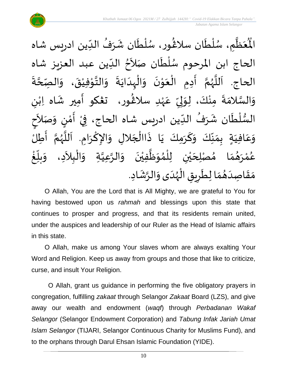

ُعَظِّمِ ل<br>محمد<br>ا  $\frac{1}{2}$  $\mathbf{r}^{\circ}$ الْمُعَظَّمِ، سُلْطَان سلاڠُور، سُلْطَان شَرَفُ الدِّين ادرِيس شاه  $\ddot{\phantom{0}}$ ٝ<br>ا ر<br>را )<br>ፌ ِّ ُ  $\frac{1}{2}$  $\ddot{\phantom{0}}$ ់<br>( ُ<br>ُ ।<br>र الحاج ابن المرحوم سُلْطَان صَلاَحُ الدِّين عبد العزيز شاه ۔<br>ا ا<br>ا ر<br>م ا<br>ا ُ ี้<br>ถ الحاج. اَللَّهُمَّ أَدِمِ الْعَوْنَ وَالْبِدَايَةَ وَالتَّوْفِيْقَ، وَالصِّحَّةَ  $\frac{1}{2}$ َ<br>أنا َ<br>أ  $\ddot{\cdot}$ **ี**<br>ร  $\tilde{\cdot}$  $\ddot{\phantom{0}}$ ْ י<br>י  $\frac{1}{2}$  $\tilde{\cdot}$  $\ddot{\cdot}$  $\ddot{\phantom{0}}$ ا<br>ا ِ<br>ا  $\tilde{\cdot}$  $\ddot{\phantom{0}}$ י<br>י  $\ddot{\phantom{0}}$ ֧֦֧֦֧֦֧<br>֘  $\ddot{\phantom{0}}$  $\frac{1}{2}$ ى<br>وَالسَّلامَةَ مِنْكَ، لِوَلِيِّ عَهْدِ سلاغُور، تعْكو أَمِير شَاه اِبْنِ ٝ<br>ۣ<br>ؙ ِ<br>م ِّ  $\frac{1}{2}$ إ اسم<br>م ْ  $\ddot{\cdot}$  $\frac{1}{2}$ ن<br>س  $\frac{1}{2}$ ر<br>شم ْ  $\frac{1}{2}$ َ السُّلْطَان شَرَفُ الدِّين ادريس شاه الحاج، فِيْ أَمْنٍ وَصَلاَحِ ۔<br>' ُ ر<br>په ⊺<br>⊱ ْ  $\frac{3}{2}$  $\frac{1}{2}$ ֦֧֦֧֦֧֝<u>֦</u> َ  $\tilde{\cdot}$ <u>رِ</u> י<br>י  $\ddot{\cdot}$ ।<br>इ  $\tilde{\cdot}$ وَعَافِيَةٍ بِمَنَّكَ وَكَرَمِكَ يَا ذَاالْجَلالِ وَالإِكْرَامِ. اَللَّهُمَّ أَطِلُ  $\overline{\phantom{a}}$ ֦֧֦֧֦֧֦֧֦֧֦֧֦֧֧֝֟֓֓֜֓֟֓<u>֓</u>  $\ddot{\cdot}$  $\frac{1}{2}$ َ  $\tilde{\cdot}$ ِّ  $\frac{1}{2}$  $\frac{1}{2}$  $\frac{1}{2}$  $\frac{1}{1}$ ِ<br>م  $\tilde{\cdot}$ ا<br>:<br>: ี<br>ถ .<br>پر<br>پر ب<br>آن<br>ا  $\overline{\phantom{a}}$  $\ddot{\phantom{0}}$ ا<br>د  $\sim$ عُمْرَهُمَا مُصْلِحَيْنِ لِلْمُوَظَّفِيْنَ وَالرَّعِيَّةِ وَالْبِلاَدِ، وَ ֦֧֦֧֦֧֝<u>֦</u> م<br>م َ ہ<br>پ ์ $\overline{\phantom{a}}$  $\ddot{\phantom{0}}$ ْ ِ<br>پا  $\ddot{\ }$ ๋<br>ำ ؗ<br>ا ់<br>រ ي  $\overline{\phantom{a}}$  $\frac{1}{2}$  $\frac{1}{2}$ ر<br>پر ់<br>។ ر<br>م ້<br>: غ ِّبِ  $\frac{1}{2}$ بلّ  $\ddot{\ }$  $\frac{1}{1}$ مَقَاصِدَهُمَا لِطَرِيقِ الْهُدَى وَالرَّشَادِ. ر<br>ر<br>ر ֦֧֦֧֦֧֦֧֦֧֦֧֦֧֧֧֝֟֓֓֓֓֟֓֟֓֟֓֟֓֟֓֟֓֟֓֟֓֟֓֟֓֟֓֟֓֟֓֟֓֟֓֟֓֝֟֓֝֬֟ ë  $\sum$  $\frac{1}{2}$  $\frac{1}{2}$  $\frac{1}{2}$  $\frac{1}{1}$  $\frac{1}{2}$  $\frac{1}{2}$ '<br>-<br>\*  $\tilde{\cdot}$ 

O Allah, You are the Lord that is All Mighty, we are grateful to You for having bestowed upon us *rahmah* and blessings upon this state that continues to prosper and progress, and that its residents remain united, under the auspices and leadership of our Ruler as the Head of Islamic affairs in this state.

O Allah, make us among Your slaves whom are always exalting Your Word and Religion. Keep us away from groups and those that like to criticize, curse, and insult Your Religion.

O Allah, grant us guidance in performing the five obligatory prayers in congregation, fulfilling *zakaat* through Selangor *Zakaat* Board (LZS), and give away our wealth and endowment (*waqf*) through *Perbadanan Wakaf Selangor* (Selangor Endowment Corporation) and *Tabung Infak Jariah Umat Islam Selangor* (TIJARI, Selangor Continuous Charity for Muslims Fund), and to the orphans through Darul Ehsan Islamic Foundation (YIDE).